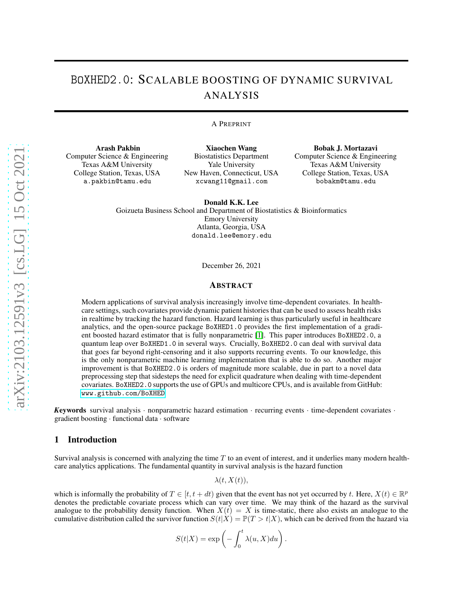# BoXHED2.0: SCALABLE BOOSTING OF DYNAMIC SURVIVAL ANALYSIS

#### A PREPRINT

Arash Pakbin Computer Science & Engineering Texas A&M University College Station, Texas, USA a.pakbin@tamu.edu

Xiaochen Wang Biostatistics Department Yale University New Haven, Connecticut, USA xcwang11@gmail.com

Bobak J. Mortazavi Computer Science & Engineering Texas A&M University College Station, Texas, USA bobakm@tamu.edu

Donald K.K. Lee Goizueta Business School and Department of Biostatistics & Bioinformatics Emory University Atlanta, Georgia, USA donald.lee@emory.edu

December 26, 2021

#### ABSTRACT

Modern applications of survival analysis increasingly involve time-dependent covariates. In healthcare settings, such covariates provide dynamic patient histories that can be used to assess health risks in realtime by tracking the hazard function. Hazard learning is thus particularly useful in healthcare analytics, and the open-source package BoXHED1.0 provides the first implementation of a gradient boosted hazard estimator that is fully nonparametric [\[1\]](#page-8-0). This paper introduces BoXHED2.0, a quantum leap over BoXHED1.0 in several ways. Crucially, BoXHED2.0 can deal with survival data that goes far beyond right-censoring and it also supports recurring events. To our knowledge, this is the only nonparametric machine learning implementation that is able to do so. Another major improvement is that BoXHED2.0 is orders of magnitude more scalable, due in part to a novel data preprocessing step that sidesteps the need for explicit quadrature when dealing with time-dependent covariates. BoXHED2.0 supports the use of GPUs and multicore CPUs, and is available from GitHub: <www.github.com/BoXHED>.

*K*eywords survival analysis · nonparametric hazard estimation · recurring events · time-dependent covariates · gradient boosting · functional data · software

## 1 Introduction

Survival analysis is concerned with analyzing the time  $T$  to an event of interest, and it underlies many modern healthcare analytics applications. The fundamental quantity in survival analysis is the hazard function

 $\lambda(t, X(t)),$ 

which is informally the probability of  $T \in [t, t + dt)$  given that the event has not yet occurred by t. Here,  $X(t) \in \mathbb{R}^p$ denotes the predictable covariate process which can vary over time. We may think of the hazard as the survival analogue to the probability density function. When  $X(t) = X$  is time-static, there also exists an analogue to the cumulative distribution called the survivor function  $S(t|X) = \mathbb{P}(T > t|X)$ , which can be derived from the hazard via

$$
S(t|X) = \exp\left(-\int_0^t \lambda(u, X) du\right).
$$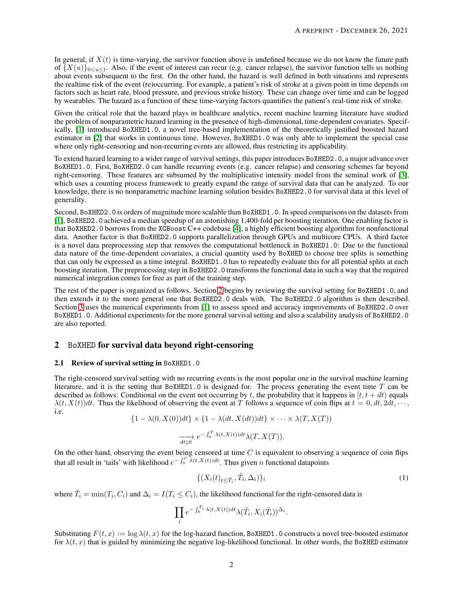In general, if  $X(t)$  is time-varying, the survivor function above is undefined because we do not know the future path of  $\{X(u)\}_{0\leq u\leq t}$ . Also, if the event of interest can recur (e.g. cancer relapse), the survivor function tells us nothing about events subsequent to the first. On the other hand, the hazard is well defined in both situations and represents the realtime risk of the event (re)occurring. For example, a patient's risk of stroke at a given point in time depends on factors such as heart rate, blood pressure, and previous stroke history. These can change over time and can be logged by wearables. The hazard as a function of these time-varying factors quantifies the patient's real-time risk of stroke.

Given the critical role that the hazard plays in healthcare analytics, recent machine learning literature have studied the problem of nonparametric hazard learning in the presence of high-dimensional, time-dependent covariates. Specifically, [\[1\]](#page-8-0) introduced BoXHED1.0, a novel tree-based implementation of the theoretically justified boosted hazard estimator in [\[2\]](#page-8-1) that works in continuous time. However, BoXHED1.0 was only able to implement the special case where only right-censoring and non-recurring events are allowed, thus restricting its applicability.

To extend hazard learning to a wider range of survival settings, this paper introduces BoXHED2.0, a major advance over BoXHED1.0. First, BoXHED2.0 can handle recurring events (e.g. cancer relapse) and censoring schemes far beyond right-censoring. These features are subsumed by the multiplicative intensity model from the seminal work of [\[3\]](#page-8-2), which uses a counting process framework to greatly expand the range of survival data that can be analyzed. To our knowledge, there is no nonparametric machine learning solution besides BoXHED2.0 for survival data at this level of generality.

Second, BoXHED2.0 is orders of magnitude more scalable than BoXHED1.0. In speed comparisons on the datasets from [\[1\]](#page-8-0), BoXHED2.0 achieved a median speedup of an astonishing 1,400-fold per boosting iteration. One enabling factor is that BoXHED2.0 borrows from the XGBoost C++ codebase [\[4\]](#page-8-3), a highly efficient boosting algorithm for nonfunctional data. Another factor is that BoXHED2.0 supports parallelization through GPUs and multicore CPUs. A third factor is a novel data preprocessing step that removes the computational bottleneck in BoXHED1.0: Due to the functional data nature of the time-dependent covariates, a crucial quantity used by BoXHED to choose tree splits is something that can only be expressed as a time integral. BoXHED1.0 has to repeatedly evaluate this for all potential splits at each boosting iteration. The preprocessing step in BoXHED2.0 transforms the functional data in such a way that the required numerical integration comes for free as part of the training step.

The rest of the paper is organized as follows. Section [2](#page-1-0) begins by reviewing the survival setting for BoXHED1.0, and then extends it to the more general one that BoXHED2.0 deals with. The BoXHED2.0 algorithm is then described. Section [3](#page-5-0) uses the numerical experiments from [\[1\]](#page-8-0) to assess speed and accuracy improvements of BoXHED2.0 over BoXHED1.0. Additional experiments for the more general survival setting and also a scalability analysis of BoXHED2.0 are also reported.

# <span id="page-1-2"></span><span id="page-1-0"></span>2 BoXHED for survival data beyond right-censoring

#### 2.1 Review of survival setting in BoXHED1.0

The right-censored survival setting with no recurring events is the most popular one in the survival machine learning literature, and it is the setting that BoXHED1.0 is designed for. The process generating the event time  $T$  can be described as follows: Conditional on the event not occurring by t, the probability that it happens in  $[t, t + dt)$  equals  $\lambda(t, X(t))dt$ . Thus the likelihood of observing the event at T follows a sequence of coin flips at  $t = 0, dt, 2dt, \cdots$ , i.e.

$$
\{1 - \lambda(0, X(0))dt\} \times \{1 - \lambda(dt, X(dt))dt\} \times \cdots \times \lambda(T, X(T))
$$
  

$$
\xrightarrow[d \downarrow 0]{} e^{-\int_0^T \lambda(t, X(t))dt} \lambda(T, X(T)).
$$

On the other hand, observing the event being censored at time  $C$  is equivalent to observing a sequence of coin flips that all result in 'tails' with likelihood  $e^{-\int_0^C \lambda(t,X(t))dt}$ . Thus given n functional datapoints

<span id="page-1-1"></span>
$$
\{(X_i(t))_{t \leq \tilde{T}_i}, \tilde{T}_i, \Delta_i)\}_i\tag{1}
$$

where  $\tilde{T}_i = \min(T_i, C_i)$  and  $\Delta_i = I(T_i \le C_i)$ , the likelihood functional for the right-censored data is

$$
\prod_i e^{-\int_0^{\tilde{T}_i} \lambda(t,X(t))dt}\lambda(\tilde{T}_i,X_i(\tilde{T}_i))^{\Delta_i}.
$$

Substituting  $F(t, x) := \log \lambda(t, x)$  for the log-hazard function, BoXHED1.0 constructs a novel tree-boosted estimator for  $\lambda(t, x)$  that is guided by minimizing the negative log-likelihood functional. In other words, the BoXHED estimator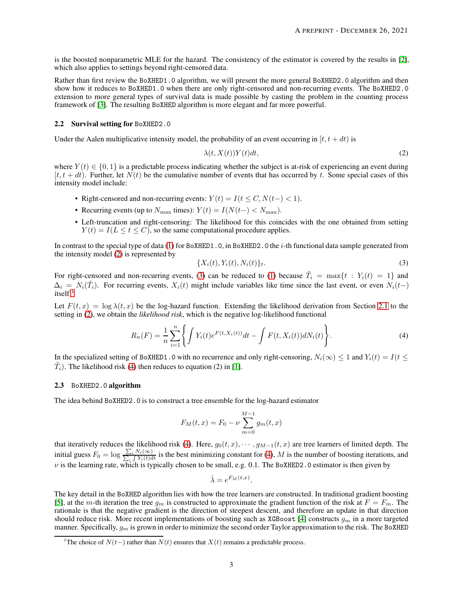is the boosted nonparametric MLE for the hazard. The consistency of the estimator is covered by the results in [\[2\]](#page-8-1), which also applies to settings beyond right-censored data.

Rather than first review the BoXHED1.0 algorithm, we will present the more general BoXHED2.0 algorithm and then show how it reduces to BoXHED1.0 when there are only right-censored and non-recurring events. The BoXHED2.0 extension to more general types of survival data is made possible by casting the problem in the counting process framework of [\[3\]](#page-8-2). The resulting BoXHED algorithm is more elegant and far more powerful.

## <span id="page-2-4"></span>2.2 Survival setting for BoXHED2.0

Under the Aalen multiplicative intensity model, the probability of an event occurring in  $[t, t + dt)$  is

<span id="page-2-0"></span>
$$
\lambda(t, X(t))Y(t)dt,\t\t(2)
$$

where  $Y(t) \in \{0, 1\}$  is a predictable process indicating whether the subject is at-risk of experiencing an event during  $[t, t + dt]$ . Further, let  $N(t)$  be the cumulative number of events that has occurred by t. Some special cases of this intensity model include:

- Right-censored and non-recurring events:  $Y(t) = I(t \leq C, N(t-) < 1)$ .
- Recurring events (up to  $N_{\text{max}}$  times):  $Y(t) = I(N(t-) < N_{\text{max}})$ .
- Left-truncation and right-censoring: The likelihood for this coincides with the one obtained from setting  $Y(t) = I(L \le t \le C)$ , so the same computational procedure applies.

In contrast to the special type of data [\(1\)](#page-1-1) for BoXHED1.0, in BoXHED2.0 the *i*-th functional data sample generated from the intensity model [\(2\)](#page-2-0) is represented by

<span id="page-2-3"></span><span id="page-2-1"></span>
$$
\{X_i(t), Y_i(t), N_i(t)\}_t.
$$
\n(3)

For right-censored and non-recurring events, [\(3\)](#page-2-1) can be reduced to [\(1\)](#page-1-1) because  $\tilde{T}_i = \max\{t : Y_i(t) = 1\}$  and  $\Delta_i = N_i(\tilde{T}_i)$ . For recurring events,  $X_i(t)$  might include variables like time since the last event, or even  $N_i(t-)$  $i$ tself.<sup>[1](#page-2-2)</sup>

Let  $F(t, x) = \log \lambda(t, x)$  be the log-hazard function. Extending the likelihood derivation from Section [2.1](#page-1-2) to the setting in [\(2\)](#page-2-0), we obtain the *likelihood risk*, which is the negative log-likelihood functional

$$
R_n(F) = \frac{1}{n} \sum_{i=1}^n \left\{ \int Y_i(t) e^{F(t, X_i(t))} dt - \int F(t, X_i(t)) dN_i(t) \right\}.
$$
 (4)

In the specialized setting of BoXHED1.0 with no recurrence and only right-censoring,  $N_i(\infty) \leq 1$  and  $Y_i(t) = I(t \leq$  $(\tilde{T}_i)$ . The likelihood risk [\(4\)](#page-2-3) then reduces to equation (2) in [\[1\]](#page-8-0).

#### 2.3 BoXHED2.0 algorithm

The idea behind BoXHED2.0 is to construct a tree ensemble for the log-hazard estimator

$$
F_M(t, x) = F_0 - \nu \sum_{m=0}^{M-1} g_m(t, x)
$$

that iteratively reduces the likelihood risk [\(4\)](#page-2-3). Here,  $g_0(t, x)$ ,  $\dots$ ,  $g_{M-1}(t, x)$  are tree learners of limited depth. The initial guess  $F_0 = \log \frac{\sum_i N_i(\infty)}{\sum_i \int Y_i(t)dt}$  is the best minimizing constant for [\(4\)](#page-2-3), M is the number of boosting iterations, and  $\nu$  is the learning rate, which is typically chosen to be small, e.g. 0.1. The BoXHED2.0 estimator is then given by

$$
\hat{\lambda} = e^{F_M(t,x)}.
$$

The key detail in the BoXHED algorithm lies with how the tree learners are constructed. In traditional gradient boosting [\[5\]](#page-8-4), at the m-th iteration the tree  $g_m$  is constructed to approximate the gradient function of the risk at  $F = F_m$ . The rationale is that the negative gradient is the direction of steepest descent, and therefore an update in that direction should reduce risk. More recent implementations of boosting such as XGBoost [\[4\]](#page-8-3) constructs  $g_m$  in a more targeted manner. Specifically,  $g_m$  is grown in order to minimize the second order Taylor approximation to the risk. The BoXHED

<span id="page-2-2"></span><sup>&</sup>lt;sup>1</sup>The choice of  $N(t-)$  rather than  $N(t)$  ensures that  $X(t)$  remains a predictable process.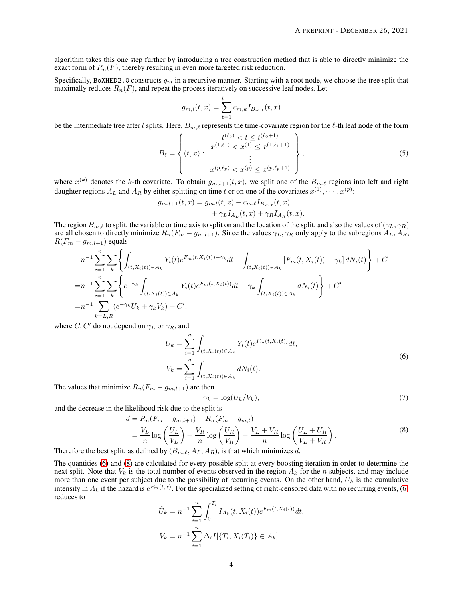algorithm takes this one step further by introducing a tree construction method that is able to directly minimize the exact form of  $R_n(F)$ , thereby resulting in even more targeted risk reduction.

Specifically, BoXHED2.0 constructs  $g_m$  in a recursive manner. Starting with a root node, we choose the tree split that maximally reduces  $R_n(F)$ , and repeat the process iteratively on successive leaf nodes. Let

<span id="page-3-2"></span>
$$
g_{m,l}(t,x) = \sum_{\ell=1}^{l+1} c_{m,k} I_{B_{m,\ell}}(t,x)
$$

be the intermediate tree after l splits. Here,  $B_{m,\ell}$  represents the time-covariate region for the  $\ell$ -th leaf node of the form

$$
B_{\ell} = \left\{ (t, x) : \begin{aligned} t^{(\ell_0)} < t \le t^{(\ell_0 + 1)} \\ x^{(1, \ell_1)} < x^{(1)} \le x^{(1, \ell_1 + 1)} \\ &\vdots \\ x^{(p, \ell_p)} < x^{(p)} \le x^{(p, \ell_p + 1)} \end{aligned} \right\},\tag{5}
$$

where  $x^{(k)}$  denotes the k-th covariate. To obtain  $g_{m,l+1}(t, x)$ , we split one of the  $B_{m,\ell}$  regions into left and right daughter regions  $A_L$  and  $A_R$  by either splitting on time t or on one of the covariates  $x^{(1)}, \cdots, x^{(p)}$ :

$$
g_{m,l+1}(t,x) = g_{m,l}(t,x) - c_{m,\ell} I_{B_{m,\ell}}(t,x) + \gamma_L I_{A_L}(t,x) + \gamma_R I_{A_R}(t,x).
$$

The region  $B_{m,\ell}$  to split, the variable or time axis to split on and the location of the split, and also the values of  $(\gamma_L, \gamma_R)$ are all chosen to directly minimize  $R_n(F_m - g_{m,l+1})$ . Since the values  $\gamma_L, \gamma_R$  only apply to the subregions  $A_L, A_R$ ,  $R(F_m - g_{m,l+1})$  equals

$$
n^{-1} \sum_{i=1}^{n} \sum_{k} \left\{ \int_{(t,X_i(t)) \in A_k} Y_i(t) e^{F_m(t,X_i(t)) - \gamma_k} dt - \int_{(t,X_i(t)) \in A_k} [F_m(t,X_i(t)) - \gamma_k] dN_i(t) \right\} + C
$$
  
\n
$$
= n^{-1} \sum_{i=1}^{n} \sum_{k} \left\{ e^{-\gamma_k} \int_{(t,X_i(t)) \in A_k} Y_i(t) e^{F_m(t,X_i(t))} dt + \gamma_k \int_{(t,X_i(t)) \in A_k} dN_i(t) \right\} + C'
$$
  
\n
$$
= n^{-1} \sum_{k=L,R} (e^{-\gamma_k} U_k + \gamma_k V_k) + C',
$$

where C, C' do not depend on  $\gamma_L$  or  $\gamma_R$ , and

<span id="page-3-0"></span>
$$
U_k = \sum_{i=1}^n \int_{(t, X_i(t)) \in A_k} Y_i(t) e^{F_m(t, X_i(t))} dt,
$$
  
\n
$$
V_k = \sum_{i=1}^n \int_{(t, X_i(t)) \in A_k} dN_i(t).
$$
\n(6)

The values that minimize  $R_n(F_m - g_{m,l+1})$  are then

<span id="page-3-1"></span>
$$
\gamma_k = \log(U_k/V_k),\tag{7}
$$

and the decrease in the likelihood risk due to the split is

$$
d = R_n(F_m - g_{m,l+1}) - R_n(F_m - g_{m,l})
$$
  
=  $\frac{V_L}{n} \log \left(\frac{U_L}{V_L}\right) + \frac{V_R}{n} \log \left(\frac{U_R}{V_R}\right) - \frac{V_L + V_R}{n} \log \left(\frac{U_L + U_R}{V_L + V_R}\right).$  (8)

Therefore the best split, as defined by  $(B_{m,\ell}, A_L, A_R)$ , is that which minimizes d.

The quantities [\(6\)](#page-3-0) and [\(8\)](#page-3-1) are calculated for every possible split at every boosting iteration in order to determine the next split. Note that  $V_k$  is the total number of events observed in the region  $A_k$  for the n subjects, and may include more than one event per subject due to the possibility of recurring events. On the other hand,  $U_k$  is the cumulative intensity in  $A_k$  if the hazard is  $e^{F_m(t,x)}$ . For the specialized setting of right-censored data with no recurring events, [\(6\)](#page-3-0) reduces to

$$
\tilde{U}_k = n^{-1} \sum_{i=1}^n \int_0^{\tilde{T}_i} I_{A_k}(t, X_i(t)) e^{F_m(t, X_i(t))} dt,
$$
  

$$
\tilde{V}_k = n^{-1} \sum_{i=1}^n \Delta_i I[\{\tilde{T}_i, X_i(\tilde{T}_i)\} \in A_k].
$$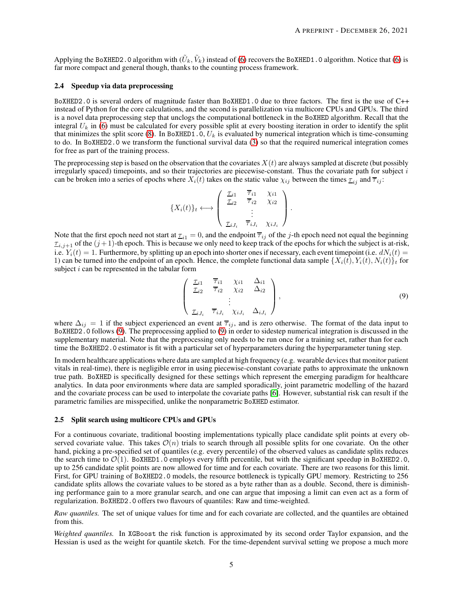Applying the BoXHED2.0 algorithm with  $(\tilde{U}_k, \tilde{V}_k)$  instead of [\(6\)](#page-3-0) recovers the BoXHED1.0 algorithm. Notice that [\(6\)](#page-3-0) is far more compact and general though, thanks to the counting process framework.

#### 2.4 Speedup via data preprocessing

BoXHED2.0 is several orders of magnitude faster than BoXHED1.0 due to three factors. The first is the use of C++ instead of Python for the core calculations, and the second is parallelization via multicore CPUs and GPUs. The third is a novel data preprocessing step that unclogs the computational bottleneck in the BoXHED algorithm. Recall that the integral  $U_k$  in [\(6\)](#page-3-0) must be calculated for every possible split at every boosting iteration in order to identify the split that minimizes the split score [\(8\)](#page-3-1). In BoXHED1.0,  $U_k$  is evaluated by numerical integration which is time-consuming to do. In BoXHED2.0 we transform the functional survival data [\(3\)](#page-2-1) so that the required numerical integration comes for free as part of the training process.

The preprocessing step is based on the observation that the covariates  $X(t)$  are always sampled at discrete (but possibly irregularly spaced) timepoints, and so their trajectories are piecewise-constant. Thus the covariate path for subject  $i$ can be broken into a series of epochs where  $X_i(t)$  takes on the static value  $\chi_{ij}$  between the times  $\tau_{ij}$  and  $\bar{\tau}_{ij}$ :

$$
\{X_i(t)\}_t \longleftrightarrow \begin{pmatrix} \frac{\tau_{i1}}{\tau_{i2}} & \frac{\overline{\tau}_{i1}}{\tau_{i2}} & \chi_{i1} \\ \vdots & \vdots & \ddots & \vdots \\ \frac{\tau_{iJ_i}}{\tau_{iJ_i}} & \frac{\overline{\tau}_{iJ_i}}{\tau_{iJ_i}} & \chi_{iJ_i} \end{pmatrix}.
$$

Note that the first epoch need not start at  $\tau_{i,j} = 0$ , and the endpoint  $\overline{\tau}_{i,j}$  of the j-th epoch need not equal the beginning  $\tau_{i,j+1}$  of the  $(j+1)$ -th epoch. This is because we only need to keep track of the epochs for which the subject is at-risk, i.e.  $Y_i(t) = 1$ . Furthermore, by splitting up an epoch into shorter ones if necessary, each event timepoint (i.e.  $dN_i(t) =$ 1) can be turned into the endpoint of an epoch. Hence, the complete functional data sample  $\{X_i(t), Y_i(t), N_i(t)\}\$ t for subject  $i$  can be represented in the tabular form

<span id="page-4-0"></span>
$$
\begin{pmatrix}\n\frac{\tau_{i1}}{\tau_{i2}} & \frac{\overline{\tau}_{i1}}{\tau_{i2}} & \chi_{i1} & \Delta_{i1} \\
\vdots & \vdots & \ddots & \vdots \\
\frac{\tau_{iJ_i}}{\tau_{iJ_i}} & \overline{\tau}_{iJ_i} & \chi_{iJ_i} & \Delta_{iJ_i}\n\end{pmatrix},
$$
\n(9)

where  $\Delta_{ij} = 1$  if the subject experienced an event at  $\overline{\tau}_{ij}$ , and is zero otherwise. The format of the data input to BoXHED2.0 follows [\(9\)](#page-4-0). The preprocessing applied to [\(9\)](#page-4-0) in order to sidestep numerical integration is discussed in the supplementary material. Note that the preprocessing only needs to be run once for a training set, rather than for each time the BoXHED2.0 estimator is fit with a particular set of hyperparameters during the hyperparameter tuning step.

In modern healthcare applications where data are sampled at high frequency (e.g. wearable devices that monitor patient vitals in real-time), there is negligible error in using piecewise-constant covariate paths to approximate the unknown true path. BoXHED is specifically designed for these settings which represent the emerging paradigm for healthcare analytics. In data poor environments where data are sampled sporadically, joint parametric modelling of the hazard and the covariate process can be used to interpolate the covariate paths [\[6\]](#page-8-5). However, substantial risk can result if the parametric families are misspecified, unlike the nonparametric BoXHED estimator.

#### 2.5 Split search using multicore CPUs and GPUs

For a continuous covariate, traditional boosting implementations typically place candidate split points at every observed covariate value. This takes  $\mathcal{O}(n)$  trials to search through all possible splits for one covariate. On the other hand, picking a pre-specified set of quantiles (e.g. every percentile) of the observed values as candidate splits reduces the search time to  $\mathcal{O}(1)$ . BoXHED1.0 employs every fifth percentile, but with the significant speedup in BoXHED2.0, up to 256 candidate split points are now allowed for time and for each covariate. There are two reasons for this limit. First, for GPU training of BoXHED2.0 models, the resource bottleneck is typically GPU memory. Restricting to 256 candidate splits allows the covariate values to be stored as a byte rather than as a double. Second, there is diminishing performance gain to a more granular search, and one can argue that imposing a limit can even act as a form of regularization. BoXHED2.0 offers two flavours of quantiles: Raw and time-weighted.

*Raw quantiles.* The set of unique values for time and for each covariate are collected, and the quantiles are obtained from this.

*Weighted quantiles.* In XGBoost the risk function is approximated by its second order Taylor expansion, and the Hessian is used as the weight for quantile sketch. For the time-dependent survival setting we propose a much more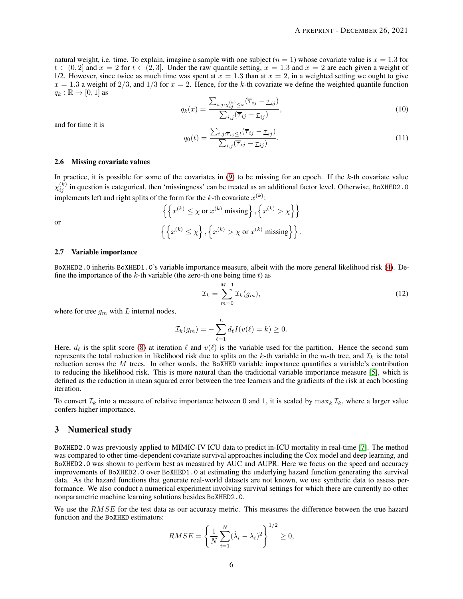natural weight, i.e. time. To explain, imagine a sample with one subject  $(n = 1)$  whose covariate value is  $x = 1.3$  for  $t \in (0, 2]$  and  $x = 2$  for  $t \in (2, 3]$ . Under the raw quantile setting,  $x = 1.3$  and  $x = 2$  are each given a weight of 1/2. However, since twice as much time was spent at  $x = 1.3$  than at  $x = 2$ , in a weighted setting we ought to give  $x = 1.3$  a weight of  $2/3$ , and  $1/3$  for  $x = 2$ . Hence, for the k-th covariate we define the weighted quantile function  $q_k : \mathbb{R} \to [0,1]$  as

$$
q_k(x) = \frac{\sum_{i,j:X_{ij}^{(k)} \le x} (\overline{\tau}_{ij} - \underline{\tau}_{ij})}{\sum_{i,j} (\overline{\tau}_{ij} - \underline{\tau}_{ij})},
$$
\n(10)

and for time it is

or

$$
q_0(t) = \frac{\sum_{i,j:\overline{\tau}_{ij} \le t} (\overline{\tau}_{ij} - \underline{\tau}_{ij})}{\sum_{i,j} (\overline{\tau}_{ij} - \underline{\tau}_{ij})}.
$$
\n(11)

#### 2.6 Missing covariate values

In practice, it is possible for some of the covariates in  $(9)$  to be missing for an epoch. If the k-th covariate value  $\chi_{ij}^{(k)}$  in question is categorical, then 'missingness' can be treated as an additional factor level. Otherwise, BoXHED2.0 implements left and right splits of the form for the k-th covariate  $x^{(k)}$ :

$$
\left\{ \left\{ x^{(k)} \le \chi \text{ or } x^{(k)} \text{ missing} \right\}, \left\{ x^{(k)} > \chi \right\} \right\}
$$

$$
\left\{ \left\{ x^{(k)} \le \chi \right\}, \left\{ x^{(k)} > \chi \text{ or } x^{(k)} \text{ missing} \right\} \right\}.
$$

#### 2.7 Variable importance

BoXHED2.0 inherits BoXHED1.0's variable importance measure, albeit with the more general likelihood risk [\(4\)](#page-2-3). Define the importance of the k-th variable (the zero-th one being time  $t$ ) as

$$
\mathcal{I}_k = \sum_{m=0}^{M-1} \mathcal{I}_k(g_m),\tag{12}
$$

where for tree  $g_m$  with L internal nodes,

$$
\mathcal{I}_k(g_m) = -\sum_{\ell=1}^L d_{\ell} I(v(\ell) = k) \geq 0.
$$

Here,  $d_{\ell}$  is the split score [\(8\)](#page-3-1) at iteration  $\ell$  and  $v(\ell)$  is the variable used for the partition. Hence the second sum represents the total reduction in likelihood risk due to splits on the k-th variable in the m-th tree, and  $\mathcal{I}_k$  is the total reduction across the M trees. In other words, the BoXHED variable importance quantifies a variable's contribution to reducing the likelihood risk. This is more natural than the traditional variable importance measure [\[5\]](#page-8-4), which is defined as the reduction in mean squared error between the tree learners and the gradients of the risk at each boosting iteration.

To convert  $\mathcal{I}_k$  into a measure of relative importance between 0 and 1, it is scaled by  $\max_k \mathcal{I}_k$ , where a larger value confers higher importance.

#### <span id="page-5-0"></span>3 Numerical study

BoXHED2.0 was previously applied to MIMIC-IV ICU data to predict in-ICU mortality in real-time [\[7\]](#page-8-6). The method was compared to other time-dependent covariate survival approaches including the Cox model and deep learning, and BoXHED2.0 was shown to perform best as measured by AUC and AUPR. Here we focus on the speed and accuracy improvements of BoXHED2.0 over BoXHED1.0 at estimating the underlying hazard function generating the survival data. As the hazard functions that generate real-world datasets are not known, we use synthetic data to assess performance. We also conduct a numerical experiment involving survival settings for which there are currently no other nonparametric machine learning solutions besides BoXHED2.0.

We use the RMSE for the test data as our accuracy metric. This measures the difference between the true hazard function and the BoXHED estimators:

$$
RMSE = \left\{ \frac{1}{N} \sum_{i=1}^{N} (\hat{\lambda}_i - \lambda_i)^2 \right\}^{1/2} \ge 0,
$$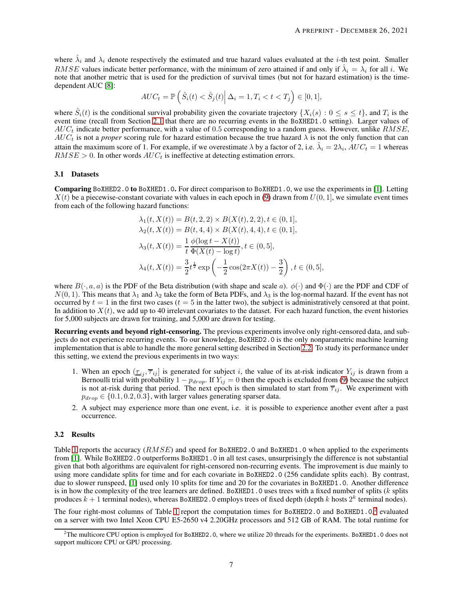where  $\hat{\lambda}_i$  and  $\lambda_i$  denote respectively the estimated and true hazard values evaluated at the *i*-th test point. Smaller RMSE values indicate better performance, with the minimum of zero attained if and only if  $\hat{\lambda}_i = \lambda_i$  for all i. We note that another metric that is used for the prediction of survival times (but not for hazard estimation) is the timedependent AUC [\[8\]](#page-8-7):

$$
AUC_t = \mathbb{P}\left(\left.\hat{S}_i(t) < \hat{S}_j(t)\right| \Delta_i = 1, T_i < t < T_j\right) \in [0, 1],
$$

where  $\hat{S}_i(t)$  is the conditional survival probability given the covariate trajectory  $\{X_i(s): 0 \le s \le t\}$ , and  $T_i$  is the event time (recall from Section [2.1](#page-1-2) that there are no recurring events in the BoXHED1.0 setting). Larger values of  $AUC_t$  indicate better performance, with a value of 0.5 corresponding to a random guess. However, unlike  $RMSE$ ,  $AUC_t$  is not a *proper* scoring rule for hazard estimation because the true hazard  $\lambda$  is not the only function that can attain the maximum score of 1. For example, if we overestimate  $\lambda$  by a factor of 2, i.e.  $\hat{\lambda}_i = 2\lambda_i$ ,  $AUC_t = 1$  whereas  $RMSE > 0$ . In other words  $AUC_t$  is ineffective at detecting estimation errors.

## <span id="page-6-1"></span>3.1 Datasets

Comparing BoXHED2.0 to BoXHED1.0. For direct comparison to BoXHED1.0, we use the experiments in [\[1\]](#page-8-0). Letting  $X(t)$  be a piecewise-constant covariate with values in each epoch in [\(9\)](#page-4-0) drawn from  $U(0, 1]$ , we simulate event times from each of the following hazard functions:

$$
\lambda_1(t, X(t)) = B(t, 2, 2) \times B(X(t), 2, 2), t \in (0, 1],
$$
  
\n
$$
\lambda_2(t, X(t)) = B(t, 4, 4) \times B(X(t), 4, 4), t \in (0, 1],
$$
  
\n
$$
\lambda_3(t, X(t)) = \frac{1}{t} \frac{\phi(\log t - X(t))}{\Phi(X(t) - \log t)}, t \in (0, 5],
$$
  
\n
$$
\lambda_4(t, X(t)) = \frac{3}{2} t^{\frac{1}{2}} \exp\left(-\frac{1}{2} \cos(2\pi X(t)) - \frac{3}{2}\right), t \in (0, 5],
$$

where  $B(\cdot, a, a)$  is the PDF of the Beta distribution (with shape and scale a).  $\phi(\cdot)$  and  $\Phi(\cdot)$  are the PDF and CDF of  $N(0, 1)$ . This means that  $\lambda_1$  and  $\lambda_2$  take the form of Beta PDFs, and  $\lambda_3$  is the log-normal hazard. If the event has not occurred by  $t = 1$  in the first two cases ( $t = 5$  in the latter two), the subject is administratively censored at that point. In addition to  $X(t)$ , we add up to 40 irrelevant covariates to the dataset. For each hazard function, the event histories for 5,000 subjects are drawn for training, and 5,000 are drawn for testing.

Recurring events and beyond right-censoring. The previous experiments involve only right-censored data, and subjects do not experience recurring events. To our knowledge, BoXHED2.0 is the only nonparametric machine learning implementation that is able to handle the more general setting described in Section [2.2.](#page-2-4) To study its performance under this setting, we extend the previous experiments in two ways:

- 1. When an epoch  $(\tau_{ij}, \overline{\tau}_{ij}]$  is generated for subject i, the value of its at-risk indicator  $Y_{ij}$  is drawn from a Bernoulli trial with probability  $1 - p_{drop}$ . If  $Y_{ij} = 0$  then the epoch is excluded from [\(9\)](#page-4-0) because the subject is not at-risk during that period. The next epoch is then simulated to start from  $\overline{\tau}_{ij}$ . We experiment with  $p_{drop} \in \{0.1, 0.2, 0.3\}$ , with larger values generating sparser data.
- 2. A subject may experience more than one event, i.e. it is possible to experience another event after a past occurrence.

#### 3.2 Results

Table [1](#page-7-0) reports the accuracy ( $RMSE$ ) and speed for BoXHED2.0 and BoXHED1.0 when applied to the experiments from [\[1\]](#page-8-0). While BoXHED2.0 outperforms BoXHED1.0 in all test cases, unsurprisingly the difference is not substantial given that both algorithms are equivalent for right-censored non-recurring events. The improvement is due mainly to using more candidate splits for time and for each covariate in BoXHED2.0 (256 candidate splits each). By contrast, due to slower runspeed, [\[1\]](#page-8-0) used only 10 splits for time and 20 for the covariates in BoXHED1.0. Another difference is in how the complexity of the tree learners are defined. BoXHED1.0 uses trees with a fixed number of splits  $(k$  splits produces  $k + 1$  terminal nodes), whereas BoXHED2.0 employs trees of fixed depth (depth k hosts  $2^k$  terminal nodes).

The four right-most columns of Table [1](#page-7-0) report the computation times for BoXHED[2](#page-6-0).0 and BoXHED1.0,<sup>2</sup> evaluated on a server with two Intel Xeon CPU E5-2650 v4 2.20GHz processors and 512 GB of RAM. The total runtime for

<span id="page-6-0"></span><sup>&</sup>lt;sup>2</sup>The multicore CPU option is employed for BoXHED2.0, where we utilize 20 threads for the experiments. BoXHED1.0 does not support multicore CPU or GPU processing.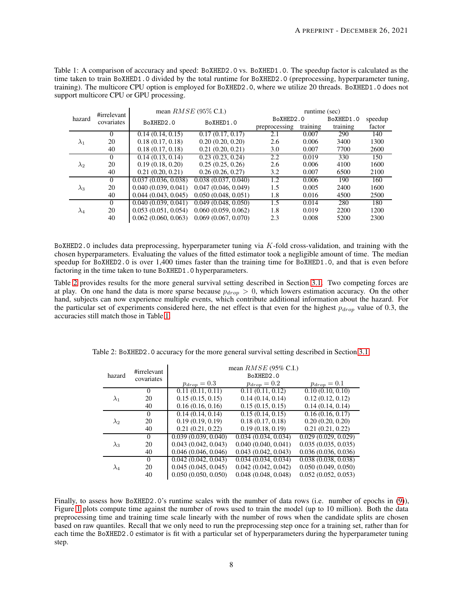<span id="page-7-0"></span>Table 1: A comparison of acccuracy and speed: BoXHED2.0 vs. BoXHED1.0. The speedup factor is calculated as the time taken to train BoXHED1.0 divided by the total runtime for BoXHED2.0 (preprocessing, hyperparameter tuning, training). The multicore CPU option is employed for BoXHED2.0, where we utilize 20 threads. BoXHED1.0 does not support multicore CPU or GPU processing.

|             | #irrelevant |                     | mean $RMSE$ (95% C.I.) | runtime (sec) |          |           |         |  |  |  |
|-------------|-------------|---------------------|------------------------|---------------|----------|-----------|---------|--|--|--|
| hazard      | covariates  | BoXHED2.0           | BoXHED1.0              | BoXHED2.0     |          | BoXHED1.0 | speedup |  |  |  |
|             |             |                     |                        | preprocessing | training | training  | factor  |  |  |  |
|             | 0           | 0.14(0.14, 0.15)    | 0.17(0.17, 0.17)       | 2.1           | 0.007    | 290       | 140     |  |  |  |
| $\lambda_1$ | 20          | 0.18(0.17, 0.18)    | 0.20(0.20, 0.20)       | 2.6           | 0.006    | 3400      | 1300    |  |  |  |
|             | 40          | 0.18(0.17, 0.18)    | 0.21(0.20, 0.21)       | 3.0           | 0.007    | 7700      | 2600    |  |  |  |
|             | 0           | 0.14(0.13, 0.14)    | 0.23(0.23, 0.24)       | 2.2           | 0.019    | 330       | 150     |  |  |  |
| $\lambda_2$ | 20          | 0.19(0.18, 0.20)    | 0.25(0.25, 0.26)       | 2.6           | 0.006    | 4100      | 1600    |  |  |  |
|             | 40          | 0.21(0.20, 0.21)    | 0.26(0.26, 0.27)       | 3.2           | 0.007    | 6500      | 2100    |  |  |  |
|             | $\Omega$    | 0.037(0.036, 0.038) | 0.038(0.037, 0.040)    | 1.2           | 0.006    | 190       | 160     |  |  |  |
| $\lambda_3$ | 20          | 0.040(0.039, 0.041) | 0.047(0.046, 0.049)    | 1.5           | 0.005    | 2400      | 1600    |  |  |  |
|             | 40          | 0.044(0.043, 0.045) | 0.050(0.048, 0.051)    | 1.8           | 0.016    | 4500      | 2500    |  |  |  |
|             | $\Omega$    | 0.040(0.039, 0.041) | 0.049(0.048, 0.050)    | 1.5           | 0.014    | 280       | 180     |  |  |  |
| $\lambda_4$ | 20          | 0.053(0.051, 0.054) | 0.060(0.059, 0.062)    | 1.8           | 0.019    | 2200      | 1200    |  |  |  |
|             | 40          | 0.062(0.060, 0.063) | 0.069(0.067, 0.070)    | 2.3           | 0.008    | 5200      | 2300    |  |  |  |

BoXHED2.0 includes data preprocessing, hyperparameter tuning via K-fold cross-validation, and training with the chosen hyperparameters. Evaluating the values of the fitted estimator took a negligible amount of time. The median speedup for BoXHED2.0 is over 1,400 times faster than the training time for BoXHED1.0, and that is even before factoring in the time taken to tune BoXHED1.0 hyperparameters.

Table [2](#page-7-1) provides results for the more general survival setting described in Section [3.1.](#page-6-1) Two competing forces are at play. On one hand the data is more sparse because  $p_{drop} > 0$ , which lowers estimation accuracy. On the other hand, subjects can now experience multiple events, which contribute additional information about the hazard. For the particular set of experiments considered here, the net effect is that even for the highest  $p_{drop}$  value of 0.3, the accuracies still match those in Table [1.](#page-7-0)

<span id="page-7-1"></span>

|             | #irrelevant | mean $RMSE$ (95% C.I.) |                     |                     |  |  |  |  |  |  |
|-------------|-------------|------------------------|---------------------|---------------------|--|--|--|--|--|--|
| hazard      | covariates  | BoXHED2.0              |                     |                     |  |  |  |  |  |  |
|             |             | $p_{drop} = 0.3$       | $p_{drop} = 0.2$    | $p_{drop} = 0.1$    |  |  |  |  |  |  |
|             | $\Omega$    | 0.11(0.11, 0.11)       | 0.11(0.11, 0.12)    | 0.10(0.10, 0.10)    |  |  |  |  |  |  |
| $\lambda_1$ | 20          | 0.15(0.15, 0.15)       | 0.14(0.14, 0.14)    | 0.12(0.12, 0.12)    |  |  |  |  |  |  |
|             | 40          | 0.16(0.16, 0.16)       | 0.15(0.15, 0.15)    | 0.14(0.14, 0.14)    |  |  |  |  |  |  |
|             | $\Omega$    | 0.14(0.14, 0.14)       | 0.15(0.14, 0.15)    | 0.16(0.16, 0.17)    |  |  |  |  |  |  |
| $\lambda_2$ | 20          | 0.19(0.19, 0.19)       | 0.18(0.17, 0.18)    | 0.20(0.20, 0.20)    |  |  |  |  |  |  |
|             | 40          | 0.21(0.21, 0.22)       | 0.19(0.18, 0.19)    | 0.21(0.21, 0.22)    |  |  |  |  |  |  |
|             | $\Omega$    | 0.039(0.039, 0.040)    | 0.034(0.034, 0.034) | 0.029(0.029, 0.029) |  |  |  |  |  |  |
| $\lambda_3$ | 20          | 0.043(0.042, 0.043)    | 0.040(0.040, 0.041) | 0.035(0.035, 0.035) |  |  |  |  |  |  |
|             | 40          | 0.046(0.046, 0.046)    | 0.043(0.042, 0.043) | 0.036(0.036, 0.036) |  |  |  |  |  |  |
|             | $\Omega$    | 0.042(0.042, 0.043)    | 0.034(0.034, 0.034) | 0.038(0.038, 0.038) |  |  |  |  |  |  |
|             | 20          | 0.045(0.045, 0.045)    | 0.042(0.042, 0.042) | 0.050(0.049, 0.050) |  |  |  |  |  |  |
|             | 40          | 0.050(0.050, 0.050)    | 0.048(0.048, 0.048) | 0.052(0.052, 0.053) |  |  |  |  |  |  |

Table 2: BoXHED2.0 accuracy for the more general survival setting described in Section [3.1.](#page-6-1)

Finally, to assess how BoXHED2.0's runtime scales with the number of data rows (i.e. number of epochs in [\(9\)](#page-4-0)), Figure [1](#page-11-0) plots compute time against the number of rows used to train the model (up to 10 million). Both the data preprocessing time and training time scale linearly with the number of rows when the candidate splits are chosen based on raw quantiles. Recall that we only need to run the preprocessing step once for a training set, rather than for each time the BoXHED2.0 estimator is fit with a particular set of hyperparameters during the hyperparameter tuning step.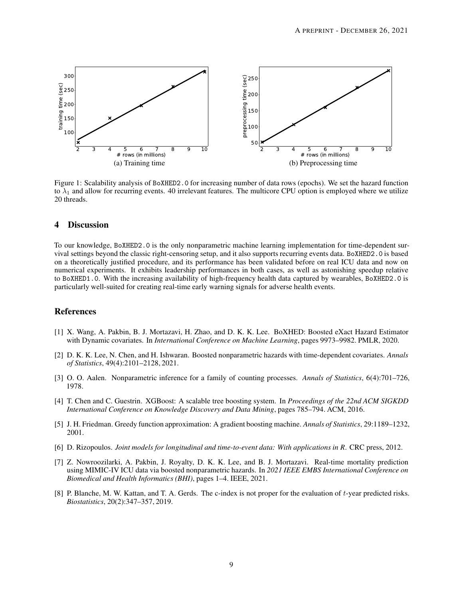

Figure 1: Scalability analysis of BoXHED2.0 for increasing number of data rows (epochs). We set the hazard function to  $\lambda_1$  and allow for recurring events. 40 irrelevant features. The multicore CPU option is employed where we utilize 20 threads.

# 4 Discussion

To our knowledge, BoXHED2.0 is the only nonparametric machine learning implementation for time-dependent survival settings beyond the classic right-censoring setup, and it also supports recurring events data. BoXHED2.0 is based on a theoretically justified procedure, and its performance has been validated before on real ICU data and now on numerical experiments. It exhibits leadership performances in both cases, as well as astonishing speedup relative to BoXHED1.0. With the increasing availability of high-frequency health data captured by wearables, BoXHED2.0 is particularly well-suited for creating real-time early warning signals for adverse health events.

## <span id="page-8-0"></span>References

- [1] X. Wang, A. Pakbin, B. J. Mortazavi, H. Zhao, and D. K. K. Lee. BoXHED: Boosted eXact Hazard Estimator with Dynamic covariates. In *International Conference on Machine Learning*, pages 9973–9982. PMLR, 2020.
- <span id="page-8-1"></span>[2] D. K. K. Lee, N. Chen, and H. Ishwaran. Boosted nonparametric hazards with time-dependent covariates. *Annals of Statistics*, 49(4):2101–2128, 2021.
- <span id="page-8-3"></span><span id="page-8-2"></span>[3] O. O. Aalen. Nonparametric inference for a family of counting processes. *Annals of Statistics*, 6(4):701–726, 1978.
- [4] T. Chen and C. Guestrin. XGBoost: A scalable tree boosting system. In *Proceedings of the 22nd ACM SIGKDD International Conference on Knowledge Discovery and Data Mining*, pages 785–794. ACM, 2016.
- <span id="page-8-5"></span><span id="page-8-4"></span>[5] J. H. Friedman. Greedy function approximation: A gradient boosting machine. *Annals of Statistics*, 29:1189–1232, 2001.
- <span id="page-8-6"></span>[6] D. Rizopoulos. *Joint models for longitudinal and time-to-event data: With applications in R*. CRC press, 2012.
- [7] Z. Nowroozilarki, A. Pakbin, J. Royalty, D. K. K. Lee, and B. J. Mortazavi. Real-time mortality prediction using MIMIC-IV ICU data via boosted nonparametric hazards. In *2021 IEEE EMBS International Conference on Biomedical and Health Informatics (BHI)*, pages 1–4. IEEE, 2021.
- <span id="page-8-7"></span>[8] P. Blanche, M. W. Kattan, and T. A. Gerds. The c-index is not proper for the evaluation of t-year predicted risks. *Biostatistics*, 20(2):347–357, 2019.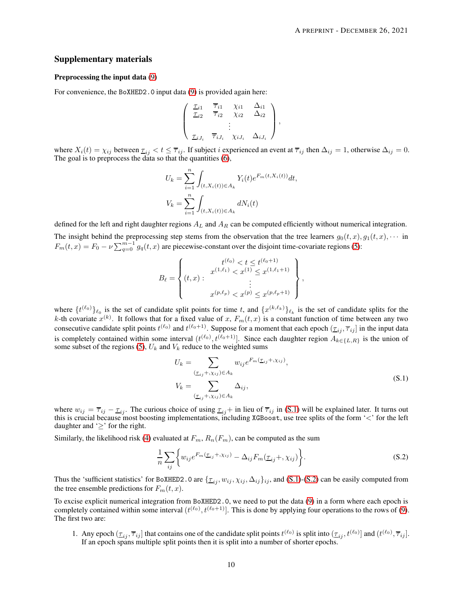#### Supplementary materials

#### Preprocessing the input data [\(9\)](#page-4-0)

For convenience, the BoXHED2.0 input data [\(9\)](#page-4-0) is provided again here:

$$
\begin{pmatrix}\n\frac{\tau_{i1}}{\tau_{i2}} & \frac{\overline{\tau}_{i1}}{\tau_{i2}} & \chi_{i1} & \Delta_{i1} \\
\vdots & \vdots & \ddots & \vdots \\
\frac{\tau_{iJ_i}}{\tau_{iJ_i}} & \frac{\tau_{iJ_i}}{\tau_{iJ_i}} & \chi_{iJ_i} & \Delta_{iJ_i}\n\end{pmatrix},
$$

where  $X_i(t) = \chi_{ij}$  between  $\underline{\tau}_{ij} < t \leq \overline{\tau}_{ij}$ . If subject i experienced an event at  $\overline{\tau}_{ij}$  then  $\Delta_{ij} = 1$ , otherwise  $\Delta_{ij} = 0$ . The goal is to preprocess the data so that the quantities [\(6\)](#page-3-0),

$$
U_k = \sum_{i=1}^n \int_{(t,X_i(t)) \in A_k} Y_i(t) e^{F_m(t,X_i(t))} dt,
$$
  

$$
V_k = \sum_{i=1}^n \int_{(t,X_i(t)) \in A_k} dN_i(t)
$$

defined for the left and right daughter regions  $A_L$  and  $A_R$  can be computed efficiently without numerical integration. The insight behind the preprocessing step stems from the observation that the tree learners  $g_0(t, x), g_1(t, x), \cdots$  in  $F_m(t, x) = F_0 - \nu \sum_{q=0}^{m-1} g_q(t, x)$  are piecewise-constant over the disjoint time-covariate regions [\(5\)](#page-3-2):

$$
B_{\ell} = \left\{ (t, x) : \begin{array}{c} t^{(\ell_0)} < t \leq t^{(\ell_0 + 1)} \\ x^{(1, \ell_1)} < x^{(1)} \leq x^{(1, \ell_1 + 1)} \\ \vdots \\ x^{(p, \ell_p)} < x^{(p)} \leq x^{(p, \ell_p + 1)} \end{array} \right\},
$$

where  $\{t^{(\ell_0)}\}_{\ell_0}$  is the set of candidate split points for time t, and  $\{x^{(k,\ell_k)}\}_{\ell_k}$  is the set of candidate splits for the k-th covariate  $x^{(k)}$ . It follows that for a fixed value of x,  $F_m(t,x)$  is a constant function of time between any two consecutive candidate split points  $t^{(\ell_0)}$  and  $t^{(\ell_0+1)}$ . Suppose for a moment that each epoch  $(\underline{\tau}_{ij}, \overline{\tau}_{ij}]$  in the input data is completely contained within some interval  $(t^{(\ell_0)}, t^{(\ell_0+1)}]$ . Since each daughter region  $A_{k\in\{L,R\}}$  is the union of some subset of the regions [\(5\)](#page-3-2),  $U_k$  and  $V_k$  reduce to the weighted sums

<span id="page-9-0"></span>
$$
U_k = \sum_{\substack{(\underline{\tau}_{ij} + ,\chi_{ij}) \in A_k}} w_{ij} e^{F_m(\underline{\tau}_{ij} + ,\chi_{ij})},
$$
  

$$
V_k = \sum_{\substack{(\underline{\tau}_{ij} + ,\chi_{ij}) \in A_k}} \Delta_{ij},
$$
 (S.1)

where  $w_{ij} = \overline{\tau}_{ij} - \underline{\tau}_{ij}$ . The curious choice of using  $\underline{\tau}_{ij}$  + in lieu of  $\overline{\tau}_{ij}$  in [\(S.1\)](#page-9-0) will be explained later. It turns out this is crucial because most boosting implementations, including XGBoost, use tree splits of the form '<' for the left daughter and ' $\geq$ ' for the right.

Similarly, the likelihood risk [\(4\)](#page-2-3) evaluated at  $F_m$ ,  $R_n(F_m)$ , can be computed as the sum

<span id="page-9-1"></span>
$$
\frac{1}{n}\sum_{ij}\left\{w_{ij}e^{F_m(\underline{\tau}_{ij}+\lambda x_{ij})}-\Delta_{ij}F_m(\underline{\tau}_{ij}+\lambda x_{ij})\right\}.
$$
\n(S.2)

Thus the 'sufficient statistics' for BoXHED2.0 are  $\{\tau_{ij}, w_{ij}, \chi_{ij}, \Delta_{ij}\}_{ij}$ , and [\(S.1\)](#page-9-0)-[\(S.2\)](#page-9-1) can be easily computed from the tree ensemble predictions for  $F_m(t, x)$ .

To excise explicit numerical integration from BoXHED2.0, we need to put the data [\(9\)](#page-4-0) in a form where each epoch is completely contained within some interval  $(t^{(\ell_0)}, t^{(\ell_0+1)}]$ . This is done by applying four operations to the rows of [\(9\)](#page-4-0). The first two are:

<span id="page-9-2"></span>1. Any epoch  $(\tau_{ij}, \overline{\tau}_{ij}]$  that contains one of the candidate split points  $t^{(\ell_0)}$  is split into  $(\tau_{ij}, t^{(\ell_0)}]$  and  $(t^{(\ell_0)}, \overline{\tau}_{ij}]$ . If an epoch spans multiple split points then it is split into a number of shorter epochs.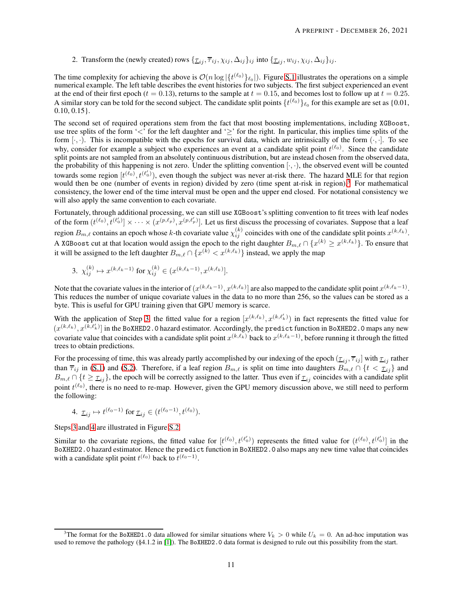<span id="page-10-3"></span>2. Transform the (newly created) rows  $\{\tau_{ij}, \overline{\tau}_{ij}, \chi_{ij}, \Delta_{ij}\}_{ij}$  into  $\{\tau_{ij}, w_{ij}, \chi_{ij}, \Delta_{ij}\}_{ij}$ .

The time complexity for achieving the above is  $\mathcal{O}(n \log |\{t^{(\ell_0)}\}_{\ell_0}|)$ . Figure [S.1](#page-11-0) illustrates the operations on a simple numerical example. The left table describes the event histories for two subjects. The first subject experienced an event at the end of their first epoch ( $t = 0.13$ ), returns to the sample at  $t = 0.15$ , and becomes lost to follow up at  $t = 0.25$ . A similar story can be told for the second subject. The candidate split points  $\{t^{(\ell_0)}\}_{\ell_0}$  for this example are set as  $\{0.01,$ 0.10, 0.15}.

The second set of required operations stem from the fact that most boosting implementations, including XGBoost, use tree splits of the form '<' for the left daughter and ' $\geq$ ' for the right. In particular, this implies time splits of the form  $[\cdot, \cdot]$ . This is incompatible with the epochs for survival data, which are intrinsically of the form  $(\cdot, \cdot]$ . To see why, consider for example a subject who experiences an event at a candidate split point  $t^{(\ell_0)}$ . Since the candidate split points are not sampled from an absolutely continuous distribution, but are instead chosen from the observed data, the probability of this happening is not zero. Under the splitting convention  $[\cdot, \cdot)$ , the observed event will be counted towards some region  $[t^{(\ell_0)}, t^{(\ell_0')}),$  even though the subject was never at-risk there. The hazard MLE for that region would then be one (number of events in region) divided by zero (time spent at-risk in region).<sup>[3](#page-10-0)</sup> For mathematical consistency, the lower end of the time interval must be open and the upper end closed. For notational consistency we will also apply the same convention to each covariate.

Fortunately, through additional processing, we can still use XGBoost's splitting convention to fit trees with leaf nodes of the form  $(t^{(\ell_0)}, t^{(\ell_0')}] \times \cdots \times (x^{(p,\ell_p)}, x^{(p,\ell_p')}]$ . Let us first discuss the processing of covariates. Suppose that a leaf region  $B_{m,\ell}$  contains an epoch whose k-th covariate value  $\chi_{ij}^{(k)}$  coincides with one of the candidate split points  $x^{(k,\ell_k)}$ . A XGBoost cut at that location would assign the epoch to the right daughter  $B_{m,\ell}\cap\{x^{(k)}\ge x^{(k,\ell_k)}\}.$  To ensure that it will be assigned to the left daughter  $B_{m,\ell} \cap \{x^{(k)} < x^{(k,\ell_k)}\}$  instead, we apply the map

<span id="page-10-1"></span>3. 
$$
\chi_{ij}^{(k)} \mapsto x^{(k,\ell_k-1)}
$$
 for  $\chi_{ij}^{(k)} \in (x^{(k,\ell_k-1)}, x^{(k,\ell_k)}].$ 

Note that the covariate values in the interior of  $(x^{(k,\ell_k-1)}, x^{(k,\ell_k)})$  are also mapped to the candidate split point  $x^{(k,\ell_k-1)}$ . This reduces the number of unique covariate values in the data to no more than 256, so the values can be stored as a byte. This is useful for GPU training given that GPU memory is scarce.

With the application of Step [3,](#page-10-1) the fitted value for a region  $[x^{(k,\ell_k)},x^{(k,\ell'_k)})$  in fact represents the fitted value for  $(x^{(k,\ell_k)}, x^{(k,\ell'_k)}]$  in the BoXHED2.0 hazard estimator. Accordingly, the predict function in BoXHED2.0 maps any new covariate value that coincides with a candidate split point  $x^{(k,\ell_k)}$  back to  $x^{(k,\ell_k-1)}$ , before running it through the fitted trees to obtain predictions.

For the processing of time, this was already partly accomplished by our indexing of the epoch  $(\tau_{ij}, \overline{\tau}_{ij}]$  with  $\tau_{ij}$  rather than  $\overline{\tau}_{ij}$  in [\(S.1\)](#page-9-0) and [\(S.2\)](#page-9-1). Therefore, if a leaf region  $B_{m,\ell}$  is split on time into daughters  $B_{m,\ell} \cap \{t < \tau_{ij}\}\$ and  $B_{m,\ell} \cap \{t \ge \tau_{ij}\}\$ , the epoch will be correctly assigned to the latter. Thus even if  $\tau_{ij}$  coincides with a candidate split point  $t^{(\ell_0)}$ , there is no need to re-map. However, given the GPU memory discussion above, we still need to perform the following:

<span id="page-10-2"></span>4. 
$$
\underline{\tau}_{ij} \mapsto t^{(\ell_0 - 1)}
$$
 for  $\underline{\tau}_{ij} \in (t^{(\ell_0 - 1)}, t^{(\ell_0)})$ .

Steps [3](#page-10-1) and [4](#page-10-2) are illustrated in Figure [S.2.](#page-11-1)

Similar to the covariate regions, the fitted value for  $[t^{(\ell_0)}, t^{(\ell_0')})$  represents the fitted value for  $(t^{(\ell_0)}, t^{(\ell_0')})$  in the BoXHED2.0 hazard estimator. Hence the predict function in BoXHED2.0 also maps any new time value that coincides with a candidate split point  $t^{(\ell_0)}$  back to  $t^{(\ell_0-1)}$ .

<span id="page-10-0"></span><sup>&</sup>lt;sup>3</sup>The format for the BoXHED1.0 data allowed for similar situations where  $V_k > 0$  while  $U_k = 0$ . An ad-hoc imputation was used to remove the pathology (§4.1.2 in [\[1\]](#page-8-0)). The BoXHED2.0 data format is designed to rule out this possibility from the start.